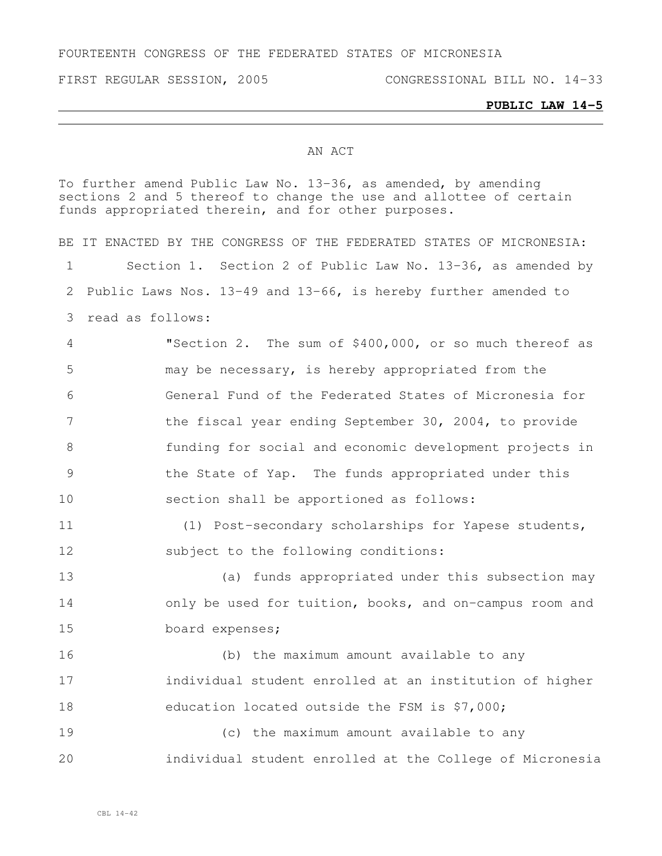FOURTEENTH CONGRESS OF THE FEDERATED STATES OF MICRONESIA

FIRST REGULAR SESSION, 2005 CONGRESSIONAL BILL NO. 14-33

## AN ACT

To further amend Public Law No. 13-36, as amended, by amending sections 2 and 5 thereof to change the use and allottee of certain funds appropriated therein, and for other purposes.

|                 | BE IT ENACTED BY THE CONGRESS OF THE FEDERATED STATES OF MICRONESIA: |
|-----------------|----------------------------------------------------------------------|
| 1               | Section 1. Section 2 of Public Law No. 13-36, as amended by          |
| 2               | Public Laws Nos. 13-49 and 13-66, is hereby further amended to       |
| 3               | read as follows:                                                     |
| $\overline{4}$  | "Section 2. The sum of \$400,000, or so much thereof as              |
| 5               | may be necessary, is hereby appropriated from the                    |
| 6               | General Fund of the Federated States of Micronesia for               |
| $7\phantom{.0}$ | the fiscal year ending September 30, 2004, to provide                |
| 8               | funding for social and economic development projects in              |
| $\mathcal{G}$   | the State of Yap. The funds appropriated under this                  |
| 10              | section shall be apportioned as follows:                             |
| 11              | (1) Post-secondary scholarships for Yapese students,                 |
| 12              | subject to the following conditions:                                 |
| 13              | (a) funds appropriated under this subsection may                     |
| 14              | only be used for tuition, books, and on-campus room and              |
| 15              | board expenses;                                                      |
| 16              | (b) the maximum amount available to any                              |
| 17              | individual student enrolled at an institution of higher              |
| 18              | education located outside the FSM is \$7,000;                        |
| 19              | (c) the maximum amount available to any                              |
| 20              | individual student enrolled at the College of Micronesia             |
|                 |                                                                      |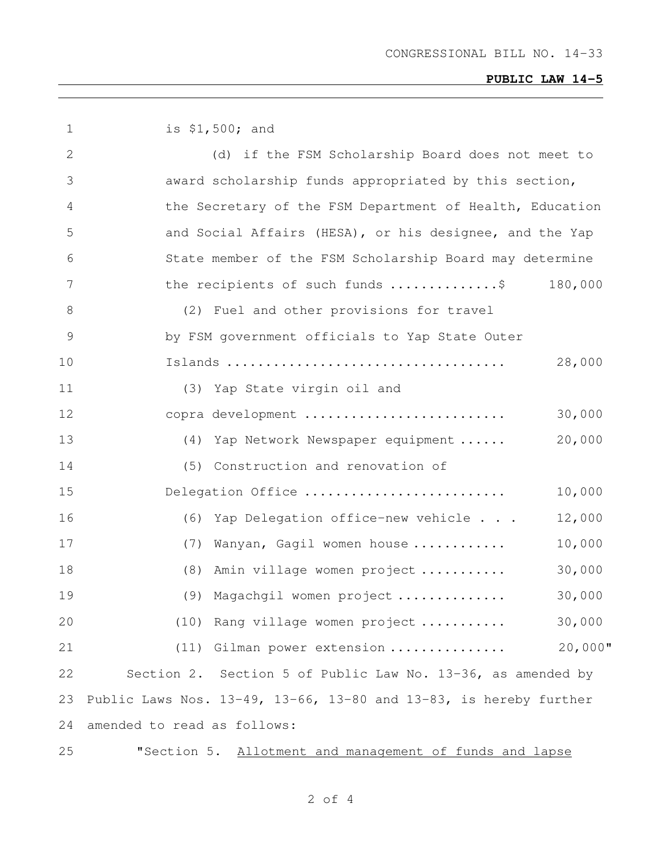## **PUBLIC LAW 14-5**

| $\mathbf 1$ | is \$1,500; and                                                   |
|-------------|-------------------------------------------------------------------|
| 2           | (d) if the FSM Scholarship Board does not meet to                 |
| 3           | award scholarship funds appropriated by this section,             |
| 4           | the Secretary of the FSM Department of Health, Education          |
| 5           | and Social Affairs (HESA), or his designee, and the Yap           |
| 6           | State member of the FSM Scholarship Board may determine           |
| 7           | the recipients of such funds \$<br>180,000                        |
| 8           | (2) Fuel and other provisions for travel                          |
| 9           | by FSM government officials to Yap State Outer                    |
| 10          | 28,000                                                            |
| 11          | (3) Yap State virgin oil and                                      |
| 12          | 30,000<br>copra development                                       |
| 13          | 20,000<br>(4) Yap Network Newspaper equipment                     |
| 14          | (5) Construction and renovation of                                |
| 15          | 10,000<br>Delegation Office                                       |
| 16          | (6) Yap Delegation office-new vehicle<br>12,000                   |
| 17          | (7) Wanyan, Gagil women house<br>10,000                           |
| 18          | (8) Amin village women project<br>30,000                          |
| 19          | (9) Magachgil women project<br>30,000                             |
| 20          | (10) Rang village women project<br>30,000                         |
| 21          | $20,000$ "<br>(11)<br>Gilman power extension                      |
| 22          | Section 2. Section 5 of Public Law No. 13-36, as amended by       |
| 23          | Public Laws Nos. 13-49, 13-66, 13-80 and 13-83, is hereby further |
| 24          | amended to read as follows:                                       |
| 25          | "Section 5. Allotment and management of funds and lapse           |

of 4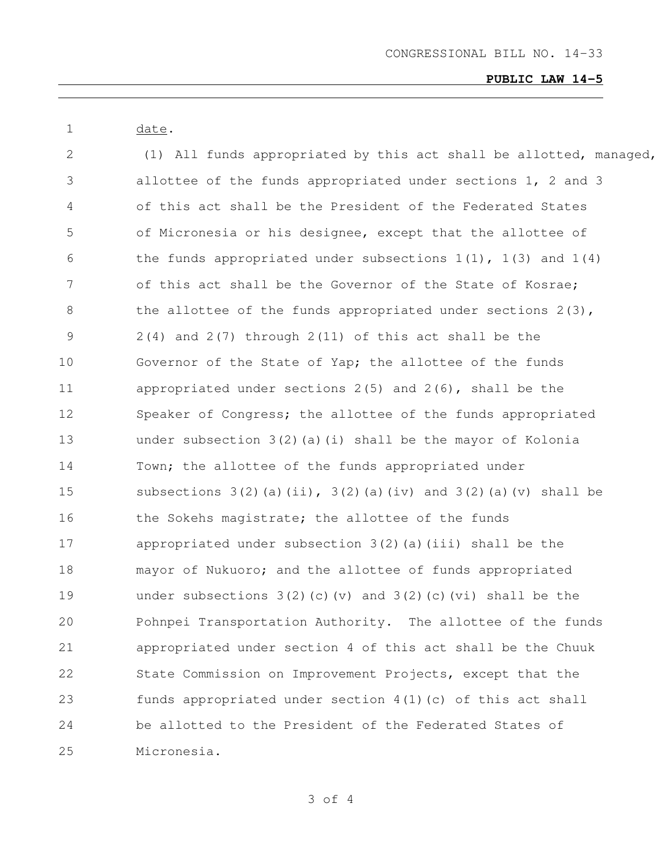## **PUBLIC LAW 14-5**

 date. 2 (1) All funds appropriated by this act shall be allotted, managed, allottee of the funds appropriated under sections 1, 2 and 3 of this act shall be the President of the Federated States of Micronesia or his designee, except that the allottee of 6 the funds appropriated under subsections  $1(1)$ ,  $1(3)$  and  $1(4)$  of this act shall be the Governor of the State of Kosrae; 8 the allottee of the funds appropriated under sections 2(3), 2(4) and 2(7) through 2(11) of this act shall be the Governor of the State of Yap; the allottee of the funds appropriated under sections 2(5) and 2(6), shall be the Speaker of Congress; the allottee of the funds appropriated under subsection 3(2)(a)(i) shall be the mayor of Kolonia Town; the allottee of the funds appropriated under 15 subsections  $3(2)$  (a)(ii),  $3(2)$  (a)(iv) and  $3(2)$  (a)(v) shall be 16 the Sokehs magistrate; the allottee of the funds appropriated under subsection 3(2)(a)(iii) shall be the mayor of Nukuoro; and the allottee of funds appropriated under subsections 3(2)(c)(v) and 3(2)(c)(vi) shall be the Pohnpei Transportation Authority. The allottee of the funds appropriated under section 4 of this act shall be the Chuuk State Commission on Improvement Projects, except that the funds appropriated under section 4(1)(c) of this act shall be allotted to the President of the Federated States of Micronesia.